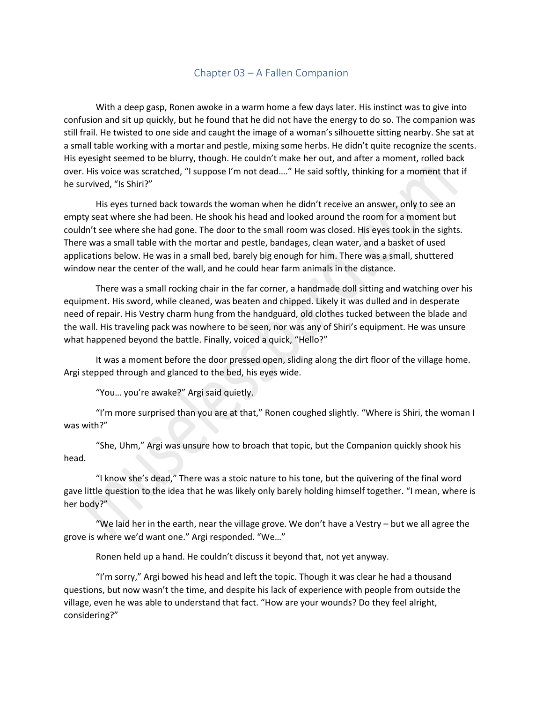## Chapter 03 – A Fallen Companion

With a deep gasp, Ronen awoke in a warm home a few days later. His instinct was to give into confusion and sit up quickly, but he found that he did not have the energy to do so. The companion was still frail. He twisted to one side and caught the image of a woman's silhouette sitting nearby. She sat at a small table working with a mortar and pestle, mixing some herbs. He didn't quite recognize the scents. His eyesight seemed to be blurry, though. He couldn't make her out, and after a moment, rolled back over. His voice was scratched, "I suppose I'm not dead…." He said softly, thinking for a moment that if he survived, "Is Shiri?"

His eyes turned back towards the woman when he didn't receive an answer, only to see an empty seat where she had been. He shook his head and looked around the room for a moment but couldn't see where she had gone. The door to the small room was closed. His eyes took in the sights. There was a small table with the mortar and pestle, bandages, clean water, and a basket of used applications below. He was in a small bed, barely big enough for him. There was a small, shuttered window near the center of the wall, and he could hear farm animals in the distance.

There was a small rocking chair in the far corner, a handmade doll sitting and watching over his equipment. His sword, while cleaned, was beaten and chipped. Likely it was dulled and in desperate need of repair. His Vestry charm hung from the handguard, old clothes tucked between the blade and the wall. His traveling pack was nowhere to be seen, nor was any of Shiri's equipment. He was unsure what happened beyond the battle. Finally, voiced a quick, "Hello?"

It was a moment before the door pressed open, sliding along the dirt floor of the village home. Argi stepped through and glanced to the bed, his eyes wide.

"You… you're awake?" Argi said quietly.

"I'm more surprised than you are at that," Ronen coughed slightly. "Where is Shiri, the woman I was with?"

"She, Uhm," Argi was unsure how to broach that topic, but the Companion quickly shook his head.

"I know she's dead," There was a stoic nature to his tone, but the quivering of the final word gave little question to the idea that he was likely only barely holding himself together. "I mean, where is her body?"

"We laid her in the earth, near the village grove. We don't have a Vestry – but we all agree the grove is where we'd want one." Argi responded. "We…"

Ronen held up a hand. He couldn't discuss it beyond that, not yet anyway.

"I'm sorry," Argi bowed his head and left the topic. Though it was clear he had a thousand questions, but now wasn't the time, and despite his lack of experience with people from outside the village, even he was able to understand that fact. "How are your wounds? Do they feel alright, considering?"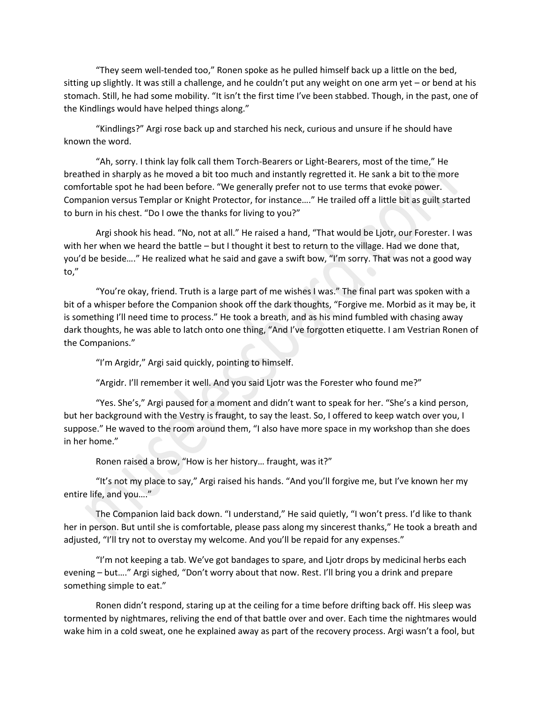"They seem well-tended too," Ronen spoke as he pulled himself back up a little on the bed, sitting up slightly. It was still a challenge, and he couldn't put any weight on one arm yet – or bend at his stomach. Still, he had some mobility. "It isn't the first time I've been stabbed. Though, in the past, one of the Kindlings would have helped things along."

"Kindlings?" Argi rose back up and starched his neck, curious and unsure if he should have known the word.

"Ah, sorry. I think lay folk call them Torch-Bearers or Light-Bearers, most of the time," He breathed in sharply as he moved a bit too much and instantly regretted it. He sank a bit to the more comfortable spot he had been before. "We generally prefer not to use terms that evoke power. Companion versus Templar or Knight Protector, for instance…." He trailed off a little bit as guilt started to burn in his chest. "Do I owe the thanks for living to you?"

Argi shook his head. "No, not at all." He raised a hand, "That would be Ljotr, our Forester. I was with her when we heard the battle – but I thought it best to return to the village. Had we done that, you'd be beside…." He realized what he said and gave a swift bow, "I'm sorry. That was not a good way to,"

"You're okay, friend. Truth is a large part of me wishes I was." The final part was spoken with a bit of a whisper before the Companion shook off the dark thoughts, "Forgive me. Morbid as it may be, it is something I'll need time to process." He took a breath, and as his mind fumbled with chasing away dark thoughts, he was able to latch onto one thing, "And I've forgotten etiquette. I am Vestrian Ronen of the Companions."

"I'm Argidr," Argi said quickly, pointing to himself.

"Argidr. I'll remember it well. And you said Ljotr was the Forester who found me?"

"Yes. She's," Argi paused for a moment and didn't want to speak for her. "She's a kind person, but her background with the Vestry is fraught, to say the least. So, I offered to keep watch over you, I suppose." He waved to the room around them, "I also have more space in my workshop than she does in her home."

Ronen raised a brow, "How is her history… fraught, was it?"

"It's not my place to say," Argi raised his hands. "And you'll forgive me, but I've known her my entire life, and you…."

The Companion laid back down. "I understand," He said quietly, "I won't press. I'd like to thank her in person. But until she is comfortable, please pass along my sincerest thanks," He took a breath and adjusted, "I'll try not to overstay my welcome. And you'll be repaid for any expenses."

"I'm not keeping a tab. We've got bandages to spare, and Ljotr drops by medicinal herbs each evening – but…." Argi sighed, "Don't worry about that now. Rest. I'll bring you a drink and prepare something simple to eat."

Ronen didn't respond, staring up at the ceiling for a time before drifting back off. His sleep was tormented by nightmares, reliving the end of that battle over and over. Each time the nightmares would wake him in a cold sweat, one he explained away as part of the recovery process. Argi wasn't a fool, but